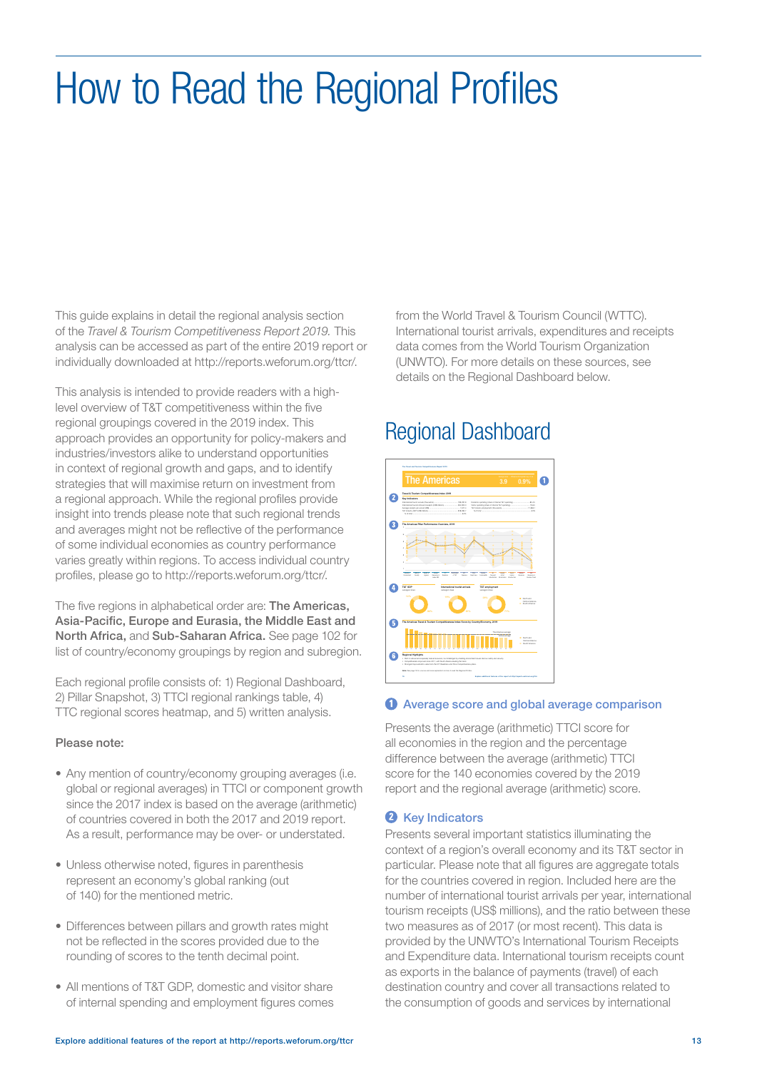## How to Read the Regional Profiles

This guide explains in detail the regional analysis section of the *Travel & Tourism Competitiveness Report 2019.* This analysis can be accessed as part of the entire 2019 report or individually downloaded at http://reports.weforum.org/ttcr/.

This analysis is intended to provide readers with a highlevel overview of T&T competitiveness within the five regional groupings covered in the 2019 index. This approach provides an opportunity for policy-makers and industries/investors alike to understand opportunities in context of regional growth and gaps, and to identify strategies that will maximise return on investment from a regional approach. While the regional profiles provide insight into trends please note that such regional trends and averages might not be reflective of the performance of some individual economies as country performance varies greatly within regions. To access individual country profiles, please go to http://reports.weforum.org/ttcr/.

The five regions in alphabetical order are: **The Americas,** Asia-Pacific, Europe and Eurasia, the Middle East and North Africa, and Sub-Saharan Africa. See page 102 for list of country/economy groupings by region and subregion.

Each regional profile consists of: 1) Regional Dashboard, 2) Pillar Snapshot, 3) TTCI regional rankings table, 4) TTC regional scores heatmap, and 5) written analysis.

#### Please note:

- Any mention of country/economy grouping averages (i.e. global or regional averages) in TTCI or component growth since the 2017 index is based on the average (arithmetic) of countries covered in both the 2017 and 2019 report. As a result, performance may be over- or understated.
- Unless otherwise noted, figures in parenthesis represent an economy's global ranking (out of 140) for the mentioned metric.
- Differences between pillars and growth rates might not be reflected in the scores provided due to the rounding of scores to the tenth decimal point.
- All mentions of T&T GDP, domestic and visitor share of internal spending and employment figures comes

from the World Travel & Tourism Council (WTTC). International tourist arrivals, expenditures and receipts data comes from the World Tourism Organization (UNWTO). For more details on these sources, see details on the Regional Dashboard below.

### Regional Dashboard



### **O** Average score and global average comparison

Presents the average (arithmetic) TTCI score for all economies in the region and the percentage difference between the average (arithmetic) TTCI score for the 140 economies covered by the 2019 report and the regional average (arithmetic) score.

### **2** Key Indicators

Presents several important statistics illuminating the context of a region's overall economy and its T&T sector in particular. Please note that all figures are aggregate totals for the countries covered in region. Included here are the number of international tourist arrivals per year, international tourism receipts (US\$ millions), and the ratio between these two measures as of 2017 (or most recent). This data is provided by the UNWTO's International Tourism Receipts and Expenditure data. International tourism receipts count as exports in the balance of payments (travel) of each destination country and cover all transactions related to the consumption of goods and services by international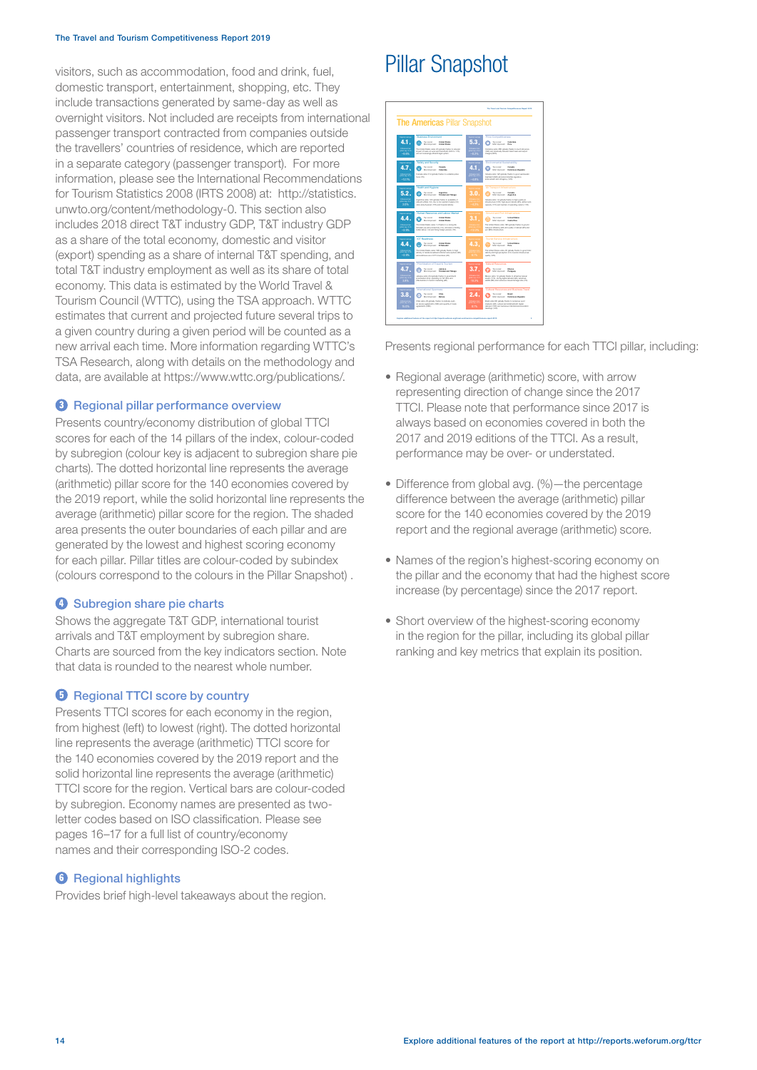#### The Travel and Tourism Competitiveness Report 2019

visitors, such as accommodation, food and drink, fuel, domestic transport, entertainment, shopping, etc. They include transactions generated by same-day as well as overnight visitors. Not included are receipts from international passenger transport contracted from companies outside the travellers' countries of residence, which are reported in a separate category (passenger transport). For more information, please see the International Recommendations for Tourism Statistics 2008 (IRTS 2008) at: http://statistics. unwto.org/content/methodology-0. This section also includes 2018 direct T&T industry GDP, T&T industry GDP as a share of the total economy, domestic and visitor (export) spending as a share of internal T&T spending, and total T&T industry employment as well as its share of total economy. This data is estimated by the World Travel & Tourism Council (WTTC), using the TSA approach. WTTC estimates that current and projected future several trips to a given country during a given period will be counted as a new arrival each time. More information regarding WTTC's TSA Research, along with details on the methodology and data, are available at https://www.wttc.org/publications/.

#### **8** Regional pillar performance overview

Presents country/economy distribution of global TTCI scores for each of the 14 pillars of the index, colour-coded by subregion (colour key is adjacent to subregion share pie charts). The dotted horizontal line represents the average (arithmetic) pillar score for the 140 economies covered by the 2019 report, while the solid horizontal line represents the average (arithmetic) pillar score for the region. The shaded area presents the outer boundaries of each pillar and are generated by the lowest and highest scoring economy for each pillar. Pillar titles are colour-coded by subindex (colours correspond to the colours in the Pillar Snapshot) .

#### **O** Subregion share pie charts

Shows the aggregate T&T GDP, international tourist arrivals and T&T employment by subregion share. Charts are sourced from the key indicators section. Note that data is rounded to the nearest whole number.

#### **B** Regional TTCI score by country

Presents TTCI scores for each economy in the region, from highest (left) to lowest (right). The dotted horizontal line represents the average (arithmetic) TTCI score for the 140 economies covered by the 2019 report and the solid horizontal line represents the average (arithmetic) TTCI score for the region. Vertical bars are colour-coded by subregion. Economy names are presented as twoletter codes based on ISO classification. Please see pages 16–17 for a full list of country/economy names and their corresponding ISO-2 codes.

#### **6** Regional highlights

Provides brief high-level takeaways about the region.

### Pillar Snapshot



Presents regional performance for each TTCI pillar, including:

- Regional average (arithmetic) score, with arrow representing direction of change since the 2017 TTCI. Please note that performance since 2017 is always based on economies covered in both the 2017 and 2019 editions of the TTCI. As a result, performance may be over- or understated.
- Difference from global avg. (%)—the percentage difference between the average (arithmetic) pillar score for the 140 economies covered by the 2019 report and the regional average (arithmetic) score.
- Names of the region's highest-scoring economy on the pillar and the economy that had the highest score increase (by percentage) since the 2017 report.
- Short overview of the highest-scoring economy in the region for the pillar, including its global pillar ranking and key metrics that explain its position.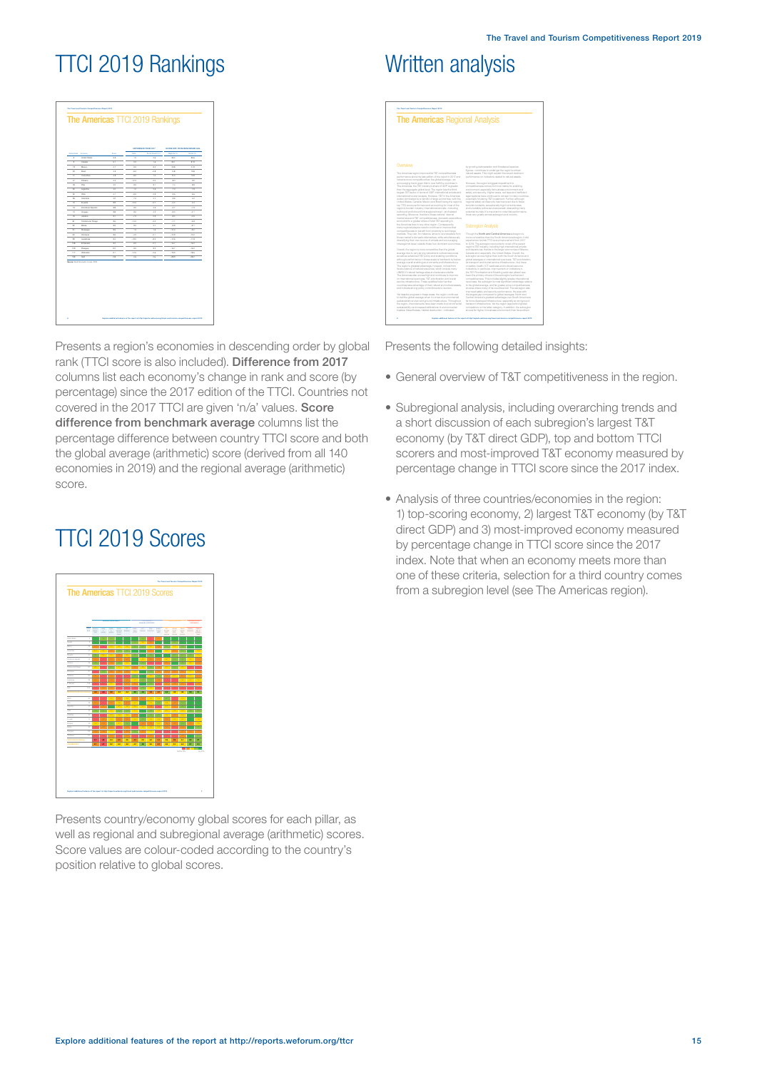## TTCI 2019 Rankings

|                              |                                 |                        |              | OPPERINGS FROM 2017      |                  | SCORE DRY, FROM BENDIRMING AVE. |
|------------------------------|---------------------------------|------------------------|--------------|--------------------------|------------------|---------------------------------|
| <b>Great Fare</b>            | <b>Color</b>                    | <b>Service</b>         | <b>Color</b> | in N<br>٠                | ×<br>$\sim$      | <b>Great For</b>                |
| ٠                            | <b>Croked States</b>            | $\sim$                 | $\sim$       | $\mathbf{r}$             | $^{12}$          | $\sim$                          |
| ٠                            | Canada                          | A.                     | $^{22}$      | 16                       | 30.7             | 21.2                            |
| $^{12}$                      | Media                           | 47                     | $^{32}$      | 3.4                      | 20.8             | 21.0                            |
| $\overline{z}$<br>$\epsilon$ | <b>bud</b><br>Costa Rose        | $\lambda$<br>$\lambda$ | 4d<br>$-22$  | $-0.8$<br>$\overline{1}$ | 148<br>32.0      | 18.8<br>10.9                    |
| $\overline{a}$               | Parama                          | 42                     | $-120$       | $-4.0$                   | s.c.             | 10                              |
| ×                            | Post.                           | 42                     | $^{10}$      | 33                       | 2.4              | ×.                              |
| $\mathbf{r}$                 | Asprána                         | 42                     | 10           | 2.5                      | zo               | 2.8                             |
| $\sim$                       | $^{<}$                          | 41                     | 44           | 08                       | 1.6              | <b>LC</b>                       |
| ×                            | Colvette                        | $\overline{10}$        | za           | 47                       | 3.2              | $\overline{a}$                  |
| $\overline{D}$               | Institute                       | 28                     | $-10.0$      | $-0.7$                   | 14.4             | $^{44}$                         |
| n.                           | Dominium Republic               | 38                     | $^{10}$      | <b>A</b>                 | $-2.7$           | $-1.0$                          |
| $\mathbb{R}$                 | Dopay                           | 38                     | $^{10}$      | 42                       | $-3.0$           | $-2.1$                          |
| $\overline{\phantom{a}}$     | <b>Jensier</b>                  | 37                     | $-70$        | 08                       | $-3.4$           | $-2.6$                          |
| ×                            | <b>Design and Tokens</b>        | $\mathbf{r}$           | $-34.0$      | -14                      | $-2.5$           | <b>ALC</b>                      |
| $\infty$                     | <b>British</b>                  | $_{2.2}$               | to.          | 47                       | 10.0             | $-0.7$                          |
| $\in$                        | <b>Montrad</b>                  | $_{2.2}$               | 10           | 16                       | $-32.0$          | $-0.2$                          |
| $\sim$                       | Pinker                          | $_{2.2}$               | $-4.0$       | $-0.1$                   | $-10.0$          | $-10.2$                         |
| $^{2}$                       | <b>Contact of Contact</b>       | 14                     | $-13.0$      | $-3.2$                   | $-32.6$          | $+11.8$<br>$-16.0$              |
| 126<br>128                   | El Selvador                     | 32<br>32               | $-2.0$<br>30 | $-0.7$<br>32             | -36.3<br>$-26.7$ | $-16.0$                         |
| 117                          | Perspay<br><b>Immunity</b>      | 3.3                    | $-14.0$      | $-4.6$                   | <b>John</b>      | 100                             |
| 120                          | <b>Hall</b>                     | 2.8                    | <b>A</b>     | $\sim$                   | $-28.0$          | $-28.2$                         |
|                              | District Economic Porture, 2010 |                        |              |                          |                  |                                 |
|                              |                                 |                        |              |                          |                  |                                 |

Presents a region's economies in descending order by global rank (TTCI score is also included). Difference from 2017 columns list each economy's change in rank and score (by percentage) since the 2017 edition of the TTCI. Countries not covered in the 2017 TTCI are given 'n/a' values. Score difference from benchmark average columns list the percentage difference between country TTCI score and both the global average (arithmetic) score (derived from all 140 economies in 2019) and the regional average (arithmetic) score.

## TTCI 2019 Scores



Presents country/economy global scores for each pillar, as well as regional and subregional average (arithmetic) scores. Score values are colour-coded according to the country's position relative to global scores.

## Written analysis

| <b>The Americas Regional Analysis</b>                                                                                     |                                                                                                                               |  |  |
|---------------------------------------------------------------------------------------------------------------------------|-------------------------------------------------------------------------------------------------------------------------------|--|--|
|                                                                                                                           |                                                                                                                               |  |  |
|                                                                                                                           |                                                                                                                               |  |  |
|                                                                                                                           |                                                                                                                               |  |  |
|                                                                                                                           |                                                                                                                               |  |  |
|                                                                                                                           |                                                                                                                               |  |  |
|                                                                                                                           |                                                                                                                               |  |  |
|                                                                                                                           |                                                                                                                               |  |  |
|                                                                                                                           |                                                                                                                               |  |  |
| Overview                                                                                                                  | by growing deforestation and threatened species.                                                                              |  |  |
|                                                                                                                           | figures-continues to endanger the region's critical                                                                           |  |  |
| The Americas region improved its T&T competitiveness.                                                                     | natural assets. This might explain the recent decline in                                                                      |  |  |
| performance aince the last edition of the report in 2017 and<br>remains more competitive than the clobal average-an-      | performance on indicators related to natural assets.                                                                          |  |  |
| encouraging trend given that in over half the countries in                                                                | However, the region's biggest impediment to                                                                                   |  |  |
| The Americas, the T&T industry's share of GDP is greater                                                                  | competitiveness comes from low marks for enabling                                                                             |  |  |
| than the approach olobal level. The region has the third-<br>largest T&T sector in terms of GDP, international ambals and | environment, especially its business environment and<br>safety and security. Higher taxes, red tape and inefficient           |  |  |
| international tourist receipts. However, T&T in the American                                                              | legal avaterna have continued to women in many countries.                                                                     |  |  |
| is also dominated by a handful of large economies, with the                                                               | potentially hindering T&T investment. Further, although                                                                       |  |  |
| United States, Canada, Mexico and Brazil being the region's                                                               | regional safety and security has improved due to fewer                                                                        |  |  |
| too TTCI score performers and accounting for most of the<br>region's tourism industry, international amiyals-including    | tercrist incidents, exceptionally high homicide rates<br>and unrelable police services persist, dissuading many               |  |  |
| better bray - level lettered interesting through brays brays that                                                         | potential tourists. It's important to note that performance                                                                   |  |  |
| spending. Moreover, thanks to these national internal                                                                     | does very greatly agrees submidion and country.                                                                               |  |  |
| market also and T&T competitiveness, domestic expenditure.                                                                |                                                                                                                               |  |  |
| accounts for a greater share of total T&T spending in<br>the Americas than in any other region. Consequently,             |                                                                                                                               |  |  |
| many regional players need to continue to improve their                                                                   | <b>Subregion Analysis</b>                                                                                                     |  |  |
| competitiveness to benefit from proximity to such large.                                                                  |                                                                                                                               |  |  |
| markets. They can, for instance, strive to lure travellers from<br>from maket's domestic attemption, while simulteneously | Though the North and Central America subregion is<br>more competitive than the South America submolon, it did                 |  |  |
| diversifying their own squrge of arrivals and encouraging                                                                 | experience minimal TTCI acces improvement from 2017                                                                           |  |  |
| intransional travel outside those four dominant economies.                                                                | to 2019. The subregion appoints for most of the parent                                                                        |  |  |
| Overall, the region is more competitive than the global                                                                   | region's T&T industry, including high international articular<br>and departures, thanks to the larger economies of Mexico.    |  |  |
| average due to very strong ratural and cultural resources.                                                                | Canada and, expedially, the United States, Overall, the                                                                       |  |  |
| as well as advanced T&T policy and enabling conditions,                                                                   | subregion scores higher than both the South America and                                                                       |  |  |
| although performance in these areas is held back by below-<br>average overall enabling environments and intrastructure.   | dobal averages on international operment. T&T prioritization.<br>air transport and tourist service infrastructure-but lower   |  |  |
| The region's greatest advantage, however, comes from                                                                      | on safety, health, ICT readmess and cultural resource.                                                                        |  |  |
| its abundance of ratural resources, which include many                                                                    | indicators, in particular, improvement on indicators in                                                                       |  |  |
| UNESCO natural heritage sites and extensive wildlife.<br>The Americas also accrea high and continues to improve           | the T&T Prioritization and Enabling subindex pillars have<br>been the primary drivers of the submolprix enhanced              |  |  |
| on international openness. T&T prioritization and tourist                                                                 | competitiveness. This includes slightly greater international                                                                 |  |  |
| pervice infrastructure. These qualities help member                                                                       | openness, the subregion's most significant advantage relative                                                                 |  |  |
| countries take advantage of their ratural and cultural assets.                                                            | to the clobal average, and far greater price competitiveness.                                                                 |  |  |
| and indicate strong policy commitments to tourism.                                                                        | an area where many of its countries trail. The subregion also<br>improved safety and security performance, the area with      |  |  |
| Yet despite progress in these areas, the region continues.                                                                | the largest cap compared to global averages. North and                                                                        |  |  |
| to trail the global average when it comes to environmental                                                                | Central America's greatest advantage over South America is                                                                    |  |  |
|                                                                                                                           | its more developed infrastructure, expecially air and ground                                                                  |  |  |
| sustainability and air and ground infrastructure. Throughout                                                              |                                                                                                                               |  |  |
| the region, improvements have been made to environmental<br>sustainability via increased ratifications of environmental   | transport infrastructure. Yet the region lags behind global<br>competitors on the latter category. In addition, the subregion |  |  |

Presents the following detailed insights:

- General overview of T&T competitiveness in the region.
- Subregional analysis, including overarching trends and a short discussion of each subregion's largest T&T economy (by T&T direct GDP), top and bottom TTCI scorers and most-improved T&T economy measured by percentage change in TTCI score since the 2017 index.
- Analysis of three countries/economies in the region: 1) top-scoring economy, 2) largest T&T economy (by T&T direct GDP) and 3) most-improved economy measured by percentage change in TTCI score since the 2017 index. Note that when an economy meets more than one of these criteria, selection for a third country comes from a subregion level (see The Americas region).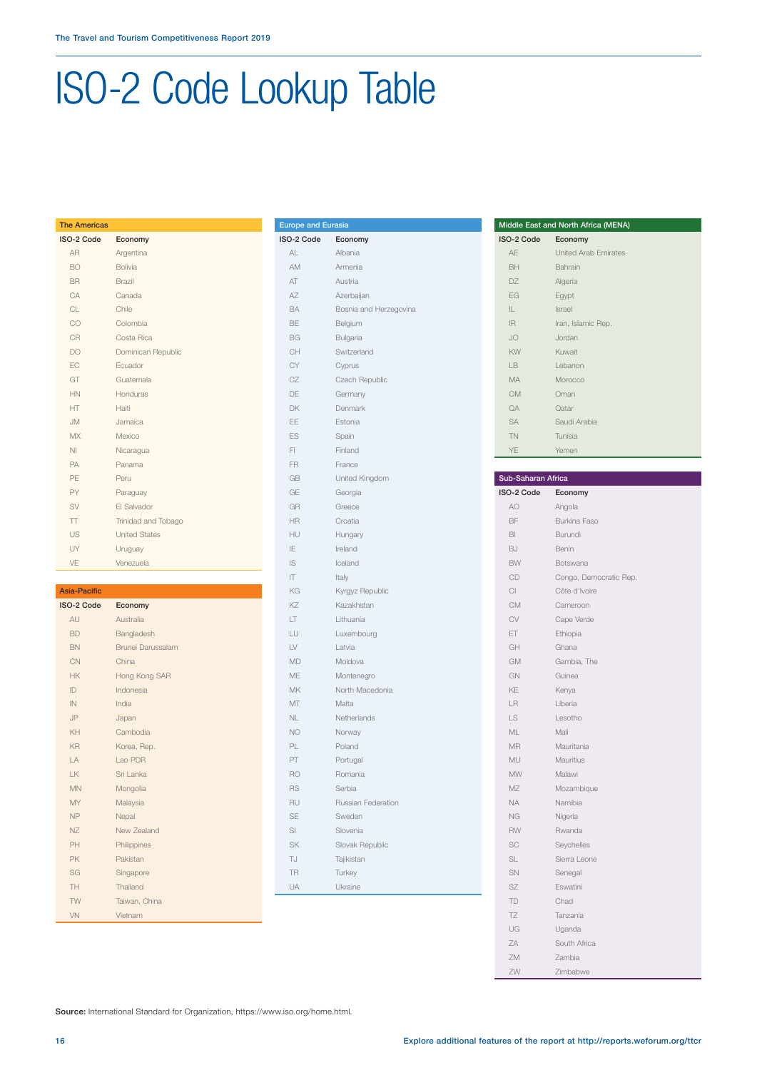## ISO-2 Code Lookup Table

| <b>The Americas</b> |                      |
|---------------------|----------------------|
| ISO-2 Code          | Economy              |
| AR                  | Argentina            |
| BO.                 | <b>Bolivia</b>       |
| <b>BR</b>           | Brazil               |
| CA                  | Canada               |
| CL.                 | Chile                |
| CO                  | Colombia             |
| CR                  | Costa Rica           |
| DO                  | Dominican Republic   |
| FC                  | Fcuador              |
| GT                  | Guatemala            |
| HN                  | Honduras             |
| HT                  | Haiti                |
| MI.                 | Jamaica              |
| <b>MX</b>           | Mexico               |
| NI                  | Nicaragua            |
| PA                  | Panama               |
| PE                  | Peru                 |
| PY                  | Paraguay             |
| SV                  | FI Salvador          |
| $\top$              | Trinidad and Tobago  |
| US                  | <b>United States</b> |
| UY                  | Uruguay              |
| VE                  | Venezuela            |
|                     |                      |

#### Asia-Pacific

| <b>ISO-2 Code</b> | Economy           |
|-------------------|-------------------|
| AU                | Australia         |
| <b>BD</b>         | Bangladesh        |
| <b>BN</b>         | Brunei Darussalam |
| CN                | China             |
| <b>HK</b>         | Hong Kong SAR     |
| ID                | Indonesia         |
| IN                | India             |
| JP                | Japan             |
| KH                | Cambodia          |
| KR                | Korea, Rep.       |
| $\overline{A}$    | Lao PDR           |
| IK                | Sri Lanka         |
| <b>MN</b>         | Mongolia          |
| <b>MY</b>         | Malaysia          |
| <b>NP</b>         | Nepal             |
| N                 | New Zealand       |
| PH                | Philippines       |
| PK                | Pakistan          |
| SG                | Singapore         |
| TH                | Thailand          |
| <b>TW</b>         | Taiwan, China     |
| VN                | Vietnam           |

| <b>Europe and Eurasia</b> |                        |
|---------------------------|------------------------|
| ISO-2 Code                | Economy                |
| AL                        | Albania                |
| AM                        | Armenia                |
| AT                        | Austria                |
| AZ                        | Azerbaijan             |
| BA                        | Bosnia and Herzegovina |
| BE                        | Belgium                |
| <b>BG</b>                 | Bulgaria               |
| CH                        | Switzerland            |
| CY                        | Cyprus                 |
| CZ                        | Czech Republic         |
| DE                        | Germany                |
| DK                        | Denmark                |
| EE                        | Estonia                |
| ES                        | Spain                  |
| FI                        | Finland                |
| FR                        | France                 |
| GB                        | United Kingdom         |
| GE                        | Georgia                |
| GR                        | Greece                 |
| HR                        | Croatia                |
| HU                        | Hungary                |
| IE                        | Ireland                |
| IS                        | Iceland                |
| IT                        | Italy                  |
| KG                        | Kyrgyz Republic        |
| KZ                        | Kazakhstan             |
| LT                        | Lithuania              |
| LU                        | Luxembourg             |
| LV                        | Latvia                 |
| <b>MD</b>                 | Moldova                |
| ME                        | Montenegro             |
| <b>MK</b>                 | North Macedonia        |
| MT                        | Malta                  |
| NL<br><b>NO</b>           | Netherlands            |
| PL                        | Norway<br>Poland       |
| PT                        | Portugal               |
| <b>RO</b>                 | Romania                |
| <b>RS</b>                 | Serbia                 |
| RU                        | Russian Federation     |
| SE                        | Sweden                 |
| SI                        | Slovenia               |
| <b>SK</b>                 | Slovak Republic        |
| TJ                        | Tajikistan             |
| <b>TR</b>                 | Turkey                 |
| UA                        | Ukraine                |
|                           |                        |

| Middle East and North Africa (MENA) |                      |  |
|-------------------------------------|----------------------|--|
| ISO-2 Code                          | Economy              |  |
| AE                                  | United Arab Emirates |  |
| BH                                  | Bahrain              |  |
| DZ.                                 | Algeria              |  |
| EG                                  | Egypt                |  |
| IL.                                 | Israel               |  |
| IR                                  | Iran, Islamic Rep.   |  |
| <b>JO</b>                           | Jordan               |  |
| KW                                  | Kuwait               |  |
| I <sub>B</sub>                      | Lebanon              |  |
| <b>MA</b>                           | Morocco              |  |
| <b>OM</b>                           | Oman                 |  |
| QA                                  | Qatar                |  |
| <b>SA</b>                           | Saudi Arabia         |  |
| <b>TN</b>                           | Tunisia              |  |
| YE                                  | Yemen                |  |

| Sub-Saharan Africa |                        |
|--------------------|------------------------|
| ISO-2 Code         | Economy                |
| AO                 | Angola                 |
| BF                 | <b>Burkina Faso</b>    |
| BI                 | Burundi                |
| <b>BJ</b>          | Benin                  |
| <b>BW</b>          | Botswana               |
| CD                 | Congo, Democratic Rep. |
| CI                 | Côte d'Ivoire          |
| <b>CM</b>          | Cameroon               |
| CV                 | Cape Verde             |
| ET                 | Ethiopia               |
| GH                 | Ghana                  |
| <b>GM</b>          | Gambia, The            |
| GN                 | Guinea                 |
| KE                 | Kenya                  |
| LR                 | Liberia                |
| LS                 | Lesotho                |
| ML                 | Mali                   |
| <b>MR</b>          | Mauritania             |
| MU                 | Mauritius              |
| <b>MW</b>          | Malawi                 |
| MZ                 | Mozambique             |
| <b>NA</b>          | Namibia                |
| <b>NG</b>          | Nigeria                |
| <b>RW</b>          | Rwanda                 |
| SC                 | Seychelles             |
| SL                 | Sierra Leone           |
| SN                 | Senegal                |
| <b>SZ</b>          | Eswatini               |
| TD                 | Chad                   |
| TZ                 | Tanzania               |
| UG                 | Uganda                 |
| ZA                 | South Africa           |
| ZM                 | Zambia                 |
| ZW                 | Zimbabwe               |

Source: International Standard for Organization, https://www.iso.org/home.html.